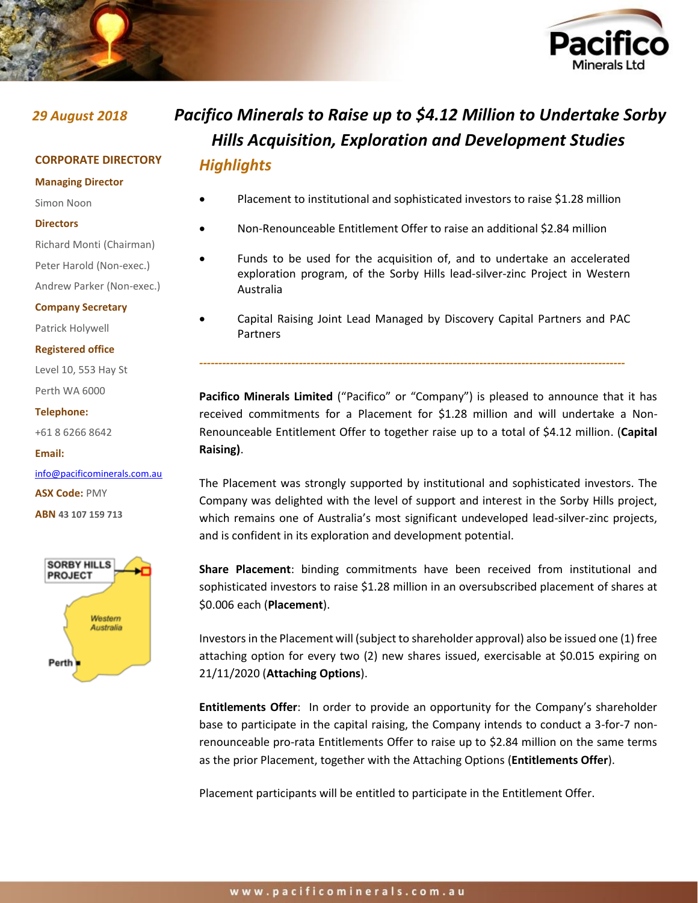

### **CORPORATE DIRECTORY**

**Managing Director**

#### Simon Noon

- **Directors**
- Richard Monti (Chairman)

Peter Harold (Non-exec.)

Andrew Parker (Non-exec.)

#### **Company Secretary**

Patrick Holywell

#### **Registered office**

Level 10, 553 Hay St Perth WA 6000

#### **Telephone:**

+61 8 6266 8642

#### **Email:**

[info@pacificominerals.com.au](mailto:info@pacificominerals.com.au) **ASX Code:** PMY **ABN 43 107 159 713**



# *29 August 2018 Pacifico Minerals to Raise up to \$4.12 Million to Undertake Sorby Hills Acquisition, Exploration and Development Studies Highlights*

- Placement to institutional and sophisticated investors to raise \$1.28 million
- Non-Renounceable Entitlement Offer to raise an additional \$2.84 million
- Funds to be used for the acquisition of, and to undertake an accelerated exploration program, of the Sorby Hills lead-silver-zinc Project in Western Australia
	- Capital Raising Joint Lead Managed by Discovery Capital Partners and PAC Partners

*---------------------------------------------------------------------------------------------------------------*

**Pacifico Minerals Limited** ("Pacifico" or "Company") is pleased to announce that it has received commitments for a Placement for \$1.28 million and will undertake a Non-Renounceable Entitlement Offer to together raise up to a total of \$4.12 million. (**Capital Raising)**.

The Placement was strongly supported by institutional and sophisticated investors. The Company was delighted with the level of support and interest in the Sorby Hills project, which remains one of Australia's most significant undeveloped lead-silver-zinc projects, and is confident in its exploration and development potential.

**Share Placement**: binding commitments have been received from institutional and sophisticated investors to raise \$1.28 million in an oversubscribed placement of shares at \$0.006 each (**Placement**).

Investors in the Placement will (subject to shareholder approval) also be issued one (1) free attaching option for every two (2) new shares issued, exercisable at \$0.015 expiring on 21/11/2020 (**Attaching Options**).

**Entitlements Offer**: In order to provide an opportunity for the Company's shareholder base to participate in the capital raising, the Company intends to conduct a 3-for-7 nonrenounceable pro-rata Entitlements Offer to raise up to \$2.84 million on the same terms as the prior Placement, together with the Attaching Options (**Entitlements Offer**).

Placement participants will be entitled to participate in the Entitlement Offer.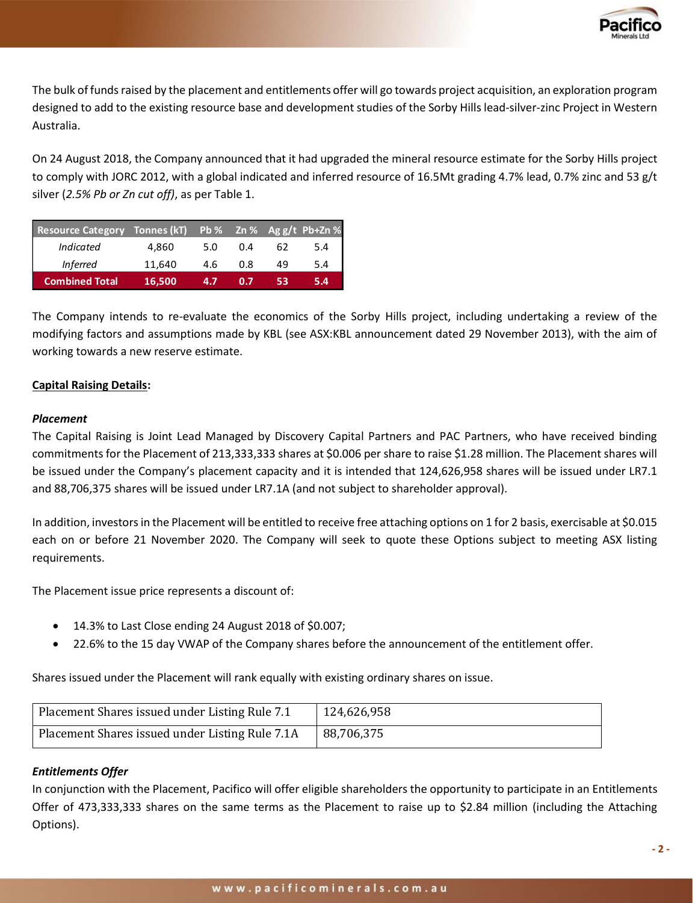

The bulk of funds raised by the placement and entitlements offer will go towards project acquisition, an exploration program designed to add to the existing resource base and development studies of the Sorby Hills lead-silver-zinc Project in Western Australia.

On 24 August 2018, the Company announced that it had upgraded the mineral resource estimate for the Sorby Hills project to comply with JORC 2012, with a global indicated and inferred resource of 16.5Mt grading 4.7% lead, 0.7% zinc and 53 g/t silver (*2.5% Pb or Zn cut off)*, as per Table 1.

| <b>Resource Category</b> | Tonnes (kT) |     |     |    | Pb % Zn % Ag g/t Pb+Zn % |
|--------------------------|-------------|-----|-----|----|--------------------------|
| <b>Indicated</b>         | 4.860       | 5.0 | 0.4 | 62 | 5.4                      |
| <i>Inferred</i>          | 11,640      | 4.6 | 0.8 | 49 | 5.4                      |
| <b>Combined Total</b>    | 16,500      | 4.7 | 0.7 | 53 | 5.4                      |

The Company intends to re-evaluate the economics of the Sorby Hills project, including undertaking a review of the modifying factors and assumptions made by KBL (see ASX:KBL announcement dated 29 November 2013), with the aim of working towards a new reserve estimate.

# **Capital Raising Details:**

# *Placement*

The Capital Raising is Joint Lead Managed by Discovery Capital Partners and PAC Partners, who have received binding commitments for the Placement of 213,333,333 shares at \$0.006 per share to raise \$1.28 million. The Placement shares will be issued under the Company's placement capacity and it is intended that 124,626,958 shares will be issued under LR7.1 and 88,706,375 shares will be issued under LR7.1A (and not subject to shareholder approval).

In addition, investors in the Placement will be entitled to receive free attaching options on 1 for 2 basis, exercisable at \$0.015 each on or before 21 November 2020. The Company will seek to quote these Options subject to meeting ASX listing requirements.

The Placement issue price represents a discount of:

- 14.3% to Last Close ending 24 August 2018 of \$0.007;
- 22.6% to the 15 day VWAP of the Company shares before the announcement of the entitlement offer.

Shares issued under the Placement will rank equally with existing ordinary shares on issue.

| Placement Shares issued under Listing Rule 7.1  | 124,626,958 |
|-------------------------------------------------|-------------|
| Placement Shares issued under Listing Rule 7.1A | 88,706,375  |

# *Entitlements Offer*

In conjunction with the Placement, Pacifico will offer eligible shareholders the opportunity to participate in an Entitlements Offer of 473,333,333 shares on the same terms as the Placement to raise up to \$2.84 million (including the Attaching Options).